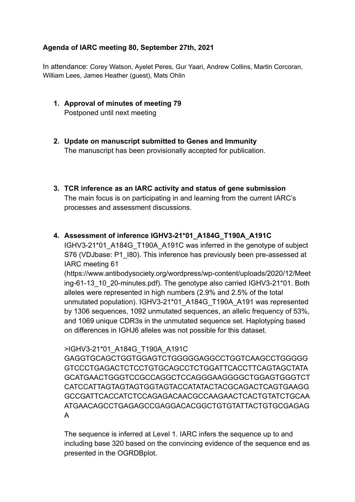# Agenda of IARC meeting 80, September 27th, 2021

In attendance: Corey Watson, Ayelet Peres, Gur Yaari, Andrew Collins, Martin Corcoran, William Lees, James Heather (guest), Mats Ohlin

- **1. Approval of minutes of meeting 79** Postponed until next meeting
- **2. Update on manuscript submitted to Genes and Immunity** The manuscript has been provisionally accepted for publication.
- **3. TCR inference as an IARC activity and status of gene submission** The main focus is on participating in and learning from the current IARC's processes and assessment discussions.

## 4. Assessment of inference IGHV3-21\*01 A184G T190A A191C

IGHV3-21\*01\_A184G\_T190A\_A191C was inferred in the genotype of subject S76 (VDJbase: P1\_I80). This inference has previously been pre-assessed at IARC meeting 61

(https://www.antibodysociety.org/wordpress/wp-content/uploads/2020/12/Meet ing-61-13 10 20-minutes.pdf). The genotype also carried IGHV3-21\*01. Both alleles were represented in high numbers (2.9% and 2.5% of the total unmutated population). IGHV3-21\*01\_A184G\_T190A\_A191 was represented by 1306 sequences, 1092 unmutated sequences, an allelic frequency of 53%, and 1069 unique CDR3s in the unmutated sequence set. Haplotyping based on differences in IGHJ6 alleles was not possible for this dataset.

## >IGHV3-21\*01\_A184G\_T190A\_A191C

GAGGTGCAGCTGGTGGAGTCTGGGGGAGGCCTGGTCAAGCCTGGGGG GTCCCTGAGACTCTCCTGTGCAGCCTCTGGATTCACCTTCAGTAGCTATA GCATGAACTGGGTCCGCCAGGCTCCAGGGAAGGGGCTGGAGTGGGTCT CATCCATTAGTAGTAGTGGTAGTACCATATACTACGCAGACTCAGTGAAGG GCCGATTCACCATCTCCAGAGACAACGCCAAGAACTCACTGTATCTGCAA ATGAACAGCCTGAGAGCCGAGGACACGGCTGTGTATTACTGTGCGAGAG A

The sequence is inferred at Level 1. IARC infers the sequence up to and including base 320 based on the convincing evidence of the sequence end as presented in the OGRDBplot.